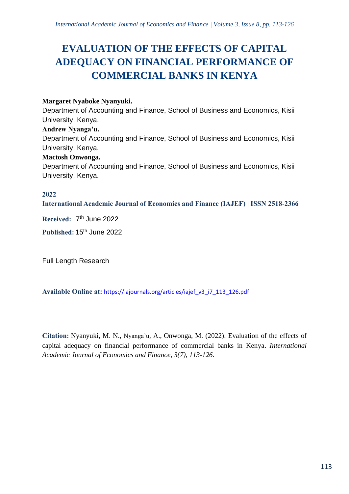# **EVALUATION OF THE EFFECTS OF CAPITAL ADEQUACY ON FINANCIAL PERFORMANCE OF COMMERCIAL BANKS IN KENYA**

## **Margaret Nyaboke Nyanyuki.**

Department of Accounting and Finance, School of Business and Economics, Kisii University, Kenya.

#### **Andrew Nyanga'u.**

Department of Accounting and Finance, School of Business and Economics, Kisii University, Kenya.

## **Mactosh Onwonga.**

Department of Accounting and Finance, School of Business and Economics, Kisii University, Kenya.

## **2022**

**International Academic Journal of Economics and Finance (IAJEF) | ISSN 2518-2366**

**Received:** 7 th June 2022

**Published:** 15th June 2022

Full Length Research

**Available Online at:** [https://iajournals.org/articles/iajef\\_v3\\_i7\\_113\\_126.pdf](https://iajournals.org/articles/iajef_v3_i7_113_126.pdf)

**Citation:** Nyanyuki, M. N., Nyanga'u, A., Onwonga, M. (2022). Evaluation of the effects of capital adequacy on financial performance of commercial banks in Kenya. *International Academic Journal of Economics and Finance, 3(7), 113-126.*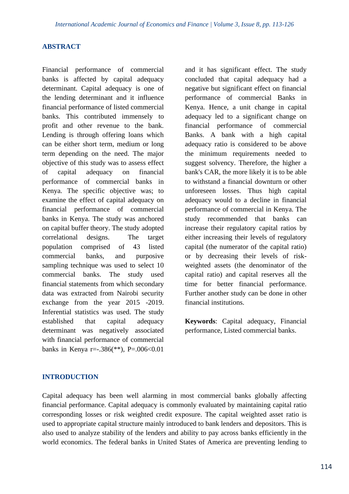#### **ABSTRACT**

Financial performance of commercial banks is affected by capital adequacy determinant. Capital adequacy is one of the lending determinant and it influence financial performance of listed commercial banks. This contributed immensely to profit and other revenue to the bank. Lending is through offering loans which can be either short term, medium or long term depending on the need. The major objective of this study was to assess effect of capital adequacy on financial performance of commercial banks in Kenya. The specific objective was; to examine the effect of capital adequacy on financial performance of commercial banks in Kenya. The study was anchored on capital buffer theory. The study adopted correlational designs. The target population comprised of 43 listed commercial banks, and purposive sampling technique was used to select 10 commercial banks. The study used financial statements from which secondary data was extracted from Nairobi security exchange from the year 2015 -2019. Inferential statistics was used. The study established that capital adequacy determinant was negatively associated with financial performance of commercial banks in Kenya r= $-0.386$ <sup>\*\*</sup>), P= $0.006$  < 0.01

and it has significant effect. The study concluded that capital adequacy had a negative but significant effect on financial performance of commercial Banks in Kenya. Hence, a unit change in capital adequacy led to a significant change on financial performance of commercial Banks. A bank with a high capital adequacy ratio is considered to be above the minimum requirements needed to suggest solvency. Therefore, the higher a bank's CAR, the more likely it is to be able to withstand a financial downturn or other unforeseen losses. Thus high capital adequacy would to a decline in financial performance of commercial in Kenya. The study recommended that banks can increase their regulatory capital ratios by either increasing their levels of regulatory capital (the numerator of the capital ratio) or by decreasing their levels of riskweighted assets (the denominator of the capital ratio) and capital reserves all the time for better financial performance. Further another study can be done in other financial institutions.

**Keywords**: Capital adequacy, Financial performance, Listed commercial banks.

#### **INTRODUCTION**

Capital adequacy has been well alarming in most commercial banks globally affecting financial performance. Capital adequacy is commonly evaluated by maintaining capital ratio corresponding losses or risk weighted credit exposure. The capital weighted asset ratio is used to appropriate capital structure mainly introduced to bank lenders and depositors. This is also used to analyze stability of the lenders and ability to pay across banks efficiently in the world economics. The federal banks in United States of America are preventing lending to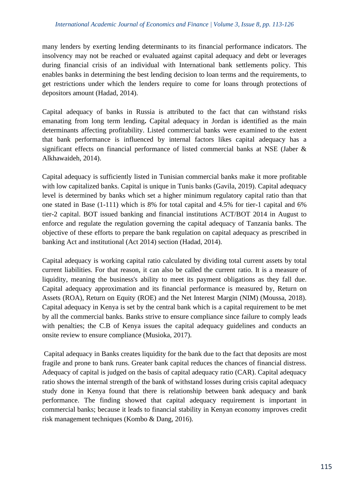many lenders by exerting lending determinants to its financial performance indicators. The insolvency may not be reached or evaluated against capital adequacy and debt or leverages during financial crisis of an individual with International bank settlements policy. This enables banks in determining the best lending decision to loan terms and the requirements, to get restrictions under which the lenders require to come for loans through protections of depositors amount (Hadad, 2014).

Capital adequacy of banks in Russia is attributed to the fact that can withstand risks emanating from long term lending**.** Capital adequacy in Jordan is identified as the main determinants affecting profitability. Listed commercial banks were examined to the extent that bank performance is influenced by internal factors likes capital adequacy has a significant effects on financial performance of listed commercial banks at NSE (Jaber & Alkhawaideh, 2014).

Capital adequacy is sufficiently listed in Tunisian commercial banks make it more profitable with low capitalized banks. Capital is unique in Tunis banks (Gavila, 2019). Capital adequacy level is determined by banks which set a higher minimum regulatory capital ratio than that one stated in Base (1-111) which is 8% for total capital and 4.5% for tier-1 capital and 6% tier-2 capital. BOT issued banking and financial institutions ACT/BOT 2014 in August to enforce and regulate the regulation governing the capital adequacy of Tanzania banks. The objective of these efforts to prepare the bank regulation on capital adequacy as prescribed in banking Act and institutional (Act 2014) section (Hadad, 2014).

Capital adequacy is working capital ratio calculated by dividing total current assets by total current liabilities. For that reason, it can also be called the current ratio. It is a measure of liquidity, meaning the business's ability to meet its payment obligations as they fall due. Capital adequacy approximation and its financial performance is measured by, Return on Assets (ROA), Return on Equity (ROE) and the Net Interest Margin (NIM) (Moussa, 2018). Capital adequacy in Kenya is set by the central bank which is a capital requirement to be met by all the commercial banks. Banks strive to ensure compliance since failure to comply leads with penalties; the C.B of Kenya issues the capital adequacy guidelines and conducts an onsite review to ensure compliance (Musioka, 2017).

Capital adequacy in Banks creates liquidity for the bank due to the fact that deposits are most fragile and prone to bank runs. Greater bank capital reduces the chances of financial distress. Adequacy of capital is judged on the basis of capital adequacy ratio (CAR). Capital adequacy ratio shows the internal strength of the bank of withstand losses during crisis capital adequacy study done in Kenya found that there is relationship between bank adequacy and bank performance. The finding showed that capital adequacy requirement is important in commercial banks; because it leads to financial stability in Kenyan economy improves credit risk management techniques (Kombo & Dang, 2016).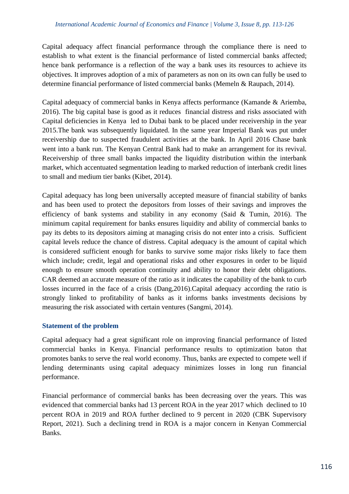Capital adequacy affect financial performance through the compliance there is need to establish to what extent is the financial performance of listed commercial banks affected; hence bank performance is a reflection of the way a bank uses its resources to achieve its objectives. It improves adoption of a mix of parameters as non on its own can fully be used to determine financial performance of listed commercial banks (Memeln & Raupach, 2014).

Capital adequacy of commercial banks in Kenya affects performance (Kamande & Ariemba, 2016). The big capital base is good as it reduces financial distress and risks associated with Capital deficiencies in Kenya led to Dubai bank to be placed under receivership in the year 2015.The bank was subsequently liquidated. In the same year Imperial Bank was put under receivership due to suspected fraudulent activities at the bank. In April 2016 Chase bank went into a bank run. The Kenyan Central Bank had to make an arrangement for its revival. Receivership of three small banks impacted the liquidity distribution within the interbank market, which accentuated segmentation leading to marked reduction of interbank credit lines to small and medium tier banks (Kibet, 2014).

Capital adequacy has long been universally accepted measure of financial stability of banks and has been used to protect the depositors from losses of their savings and improves the efficiency of bank systems and stability in any economy (Said & Tumin, 2016). The minimum capital requirement for banks ensures liquidity and ability of commercial banks to pay its debts to its depositors aiming at managing crisis do not enter into a crisis. Sufficient capital levels reduce the chance of distress. Capital adequacy is the amount of capital which is considered sufficient enough for banks to survive some major risks likely to face them which include; credit, legal and operational risks and other exposures in order to be liquid enough to ensure smooth operation continuity and ability to honor their debt obligations. CAR deemed an accurate measure of the ratio as it indicates the capability of the bank to curb losses incurred in the face of a crisis (Dang,2016).Capital adequacy according the ratio is strongly linked to profitability of banks as it informs banks investments decisions by measuring the risk associated with certain ventures (Sangmi, 2014).

## **Statement of the problem**

Capital adequacy had a great significant role on improving financial performance of listed commercial banks in Kenya. Financial performance results to optimization baton that promotes banks to serve the real world economy. Thus, banks are expected to compete well if lending determinants using capital adequacy minimizes losses in long run financial performance.

Financial performance of commercial banks has been decreasing over the years. This was evidenced that commercial banks had 13 percent ROA in the year 2017 which declined to 10 percent ROA in 2019 and ROA further declined to 9 percent in 2020 (CBK Supervisory Report, 2021). Such a declining trend in ROA is a major concern in Kenyan Commercial Banks.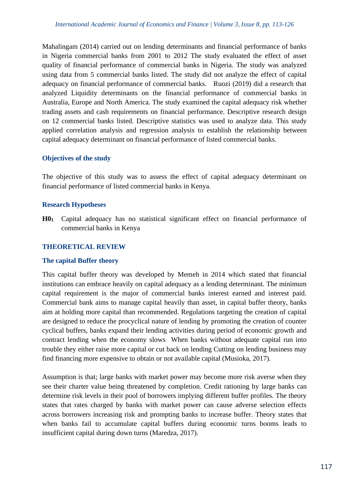Mahalingam (2014) carried out on lending determinants and financial performance of banks in Nigeria commercial banks from 2001 to 2012 The study evaluated the effect of asset quality of financial performance of commercial banks in Nigeria. The study was analyzed using data from 5 commercial banks listed. The study did not analyze the effect of capital adequacy on financial performance of commercial banks. Ruozi (2019) did a research that analyzed Liquidity determinants on the financial performance of commercial banks in Australia, Europe and North America. The study examined the capital adequacy risk whether trading assets and cash requirements on financial performance. Descriptive research design on 12 commercial banks listed. Descriptive statistics was used to analyze data. This study applied correlation analysis and regression analysis to establish the relationship between capital adequacy determinant on financial performance of listed commercial banks.

## **Objectives of the study**

The objective of this study was to assess the effect of capital adequacy determinant on financial performance of listed commercial banks in Kenya.

## **Research Hypotheses**

**H0<sup>1</sup>** Capital adequacy has no statistical significant effect on financial performance of commercial banks in Kenya

# **THEORETICAL REVIEW**

## **The capital Buffer theory**

This capital buffer theory was developed by Memeh in 2014 which stated that financial institutions can embrace heavily on capital adequacy as a lending determinant. The minimum capital requirement is the major of commercial banks interest earned and interest paid. Commercial bank aims to manage capital heavily than asset, in capital buffer theory, banks aim at holding more capital than recommended. Regulations targeting the creation of capital are designed to reduce the procyclical nature of lending by promoting the creation of counter cyclical buffers, banks expand their lending activities during period of economic growth and contract lending when the economy slows When banks without adequate capital run into trouble they either raise more capital or cut back on lending Cutting on lending business may find financing more expensive to obtain or not available capital (Musioka, 2017).

Assumption is that; large banks with market power may become more risk averse when they see their charter value being threatened by completion. Credit rationing by large banks can determine risk levels in their pool of borrowers implying different buffer profiles. The theory states that rates charged by banks with market power can cause adverse selection effects across borrowers increasing risk and prompting banks to increase buffer. Theory states that when banks fail to accumulate capital buffers during economic turns booms leads to insufficient capital during down turns (Maredza, 2017).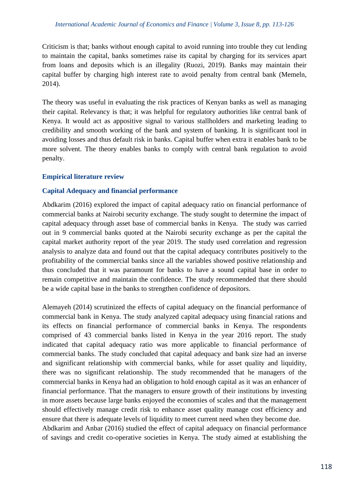Criticism is that; banks without enough capital to avoid running into trouble they cut lending to maintain the capital, banks sometimes raise its capital by charging for its services apart from loans and deposits which is an illegality (Ruozi, 2019). Banks may maintain their capital buffer by charging high interest rate to avoid penalty from central bank (Memeln, 2014).

The theory was useful in evaluating the risk practices of Kenyan banks as well as managing their capital. Relevancy is that; it was helpful for regulatory authorities like central bank of Kenya. It would act as appositive signal to various stallholders and marketing leading to credibility and smooth working of the bank and system of banking. It is significant tool in avoiding losses and thus default risk in banks. Capital buffer when extra it enables bank to be more solvent. The theory enables banks to comply with central bank regulation to avoid penalty.

## **Empirical literature review**

## **Capital Adequacy and financial performance**

Abdkarim (2016) explored the impact of capital adequacy ratio on financial performance of commercial banks at Nairobi security exchange. The study sought to determine the impact of capital adequacy through asset base of commercial banks in Kenya. The study was carried out in 9 commercial banks quoted at the Nairobi security exchange as per the capital the capital market authority report of the year 2019. The study used correlation and regression analysis to analyze data and found out that the capital adequacy contributes positively to the profitability of the commercial banks since all the variables showed positive relationship and thus concluded that it was paramount for banks to have a sound capital base in order to remain competitive and maintain the confidence. The study recommended that there should be a wide capital base in the banks to strengthen confidence of depositors.

Alemayeh (2014) scrutinized the effects of capital adequacy on the financial performance of commercial bank in Kenya. The study analyzed capital adequacy using financial rations and its effects on financial performance of commercial banks in Kenya. The respondents comprised of 43 commercial banks listed in Kenya in the year 2016 report. The study indicated that capital adequacy ratio was more applicable to financial performance of commercial banks. The study concluded that capital adequacy and bank size had an inverse and significant relationship with commercial banks, while for asset quality and liquidity, there was no significant relationship. The study recommended that he managers of the commercial banks in Kenya had an obligation to hold enough capital as it was an enhancer of financial performance. That the managers to ensure growth of their institutions by investing in more assets because large banks enjoyed the economies of scales and that the management should effectively manage credit risk to enhance asset quality manage cost efficiency and ensure that there is adequate levels of liquidity to meet current need when they become due. Abdkarim and Anbar (2016) studied the effect of capital adequacy on financial performance of savings and credit co-operative societies in Kenya. The study aimed at establishing the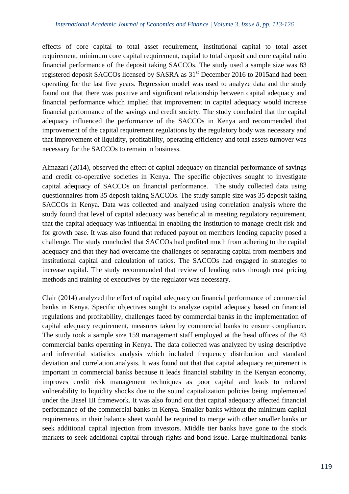effects of core capital to total asset requirement, institutional capital to total asset requirement, minimum core capital requirement, capital to total deposit and core capital ratio financial performance of the deposit taking SACCOs. The study used a sample size was 83 registered deposit SACCOs licensed by SASRA as 31st December 2016 to 2015and had been operating for the last five years. Regression model was used to analyze data and the study found out that there was positive and significant relationship between capital adequacy and financial performance which implied that improvement in capital adequacy would increase financial performance of the savings and credit society. The study concluded that the capital adequacy influenced the performance of the SACCOs in Kenya and recommended that improvement of the capital requirement regulations by the regulatory body was necessary and that improvement of liquidity, profitability, operating efficiency and total assets turnover was necessary for the SACCOs to remain in business.

Almazari (2014), observed the effect of capital adequacy on financial performance of savings and credit co-operative societies in Kenya. The specific objectives sought to investigate capital adequacy of SACCOs on financial performance. The study collected data using questionnaires from 35 deposit taking SACCOs. The study sample size was 35 deposit taking SACCOs in Kenya. Data was collected and analyzed using correlation analysis where the study found that level of capital adequacy was beneficial in meeting regulatory requirement, that the capital adequacy was influential in enabling the institution to manage credit risk and for growth base. It was also found that reduced payout on members lending capacity posed a challenge. The study concluded that SACCOs had profited much from adhering to the capital adequacy and that they had overcame the challenges of separating capital from members and institutional capital and calculation of ratios. The SACCOs had engaged in strategies to increase capital. The study recommended that review of lending rates through cost pricing methods and training of executives by the regulator was necessary.

Clair (2014) analyzed the effect of capital adequacy on financial performance of commercial banks in Kenya. Specific objectives sought to analyze capital adequacy based on financial regulations and profitability, challenges faced by commercial banks in the implementation of capital adequacy requirement, measures taken by commercial banks to ensure compliance. The study took a sample size 159 management staff employed at the head offices of the 43 commercial banks operating in Kenya. The data collected was analyzed by using descriptive and inferential statistics analysis which included frequency distribution and standard deviation and correlation analysis. It was found out that that capital adequacy requirement is important in commercial banks because it leads financial stability in the Kenyan economy, improves credit risk management techniques as poor capital and leads to reduced vulnerability to liquidity shocks due to the sound capitalization policies being implemented under the Basel III framework. It was also found out that capital adequacy affected financial performance of the commercial banks in Kenya. Smaller banks without the minimum capital requirements in their balance sheet would be required to merge with other smaller banks or seek additional capital injection from investors. Middle tier banks have gone to the stock markets to seek additional capital through rights and bond issue. Large multinational banks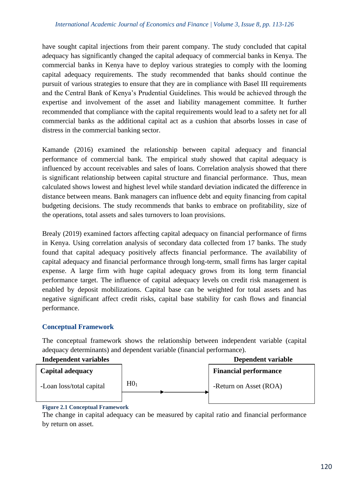have sought capital injections from their parent company. The study concluded that capital adequacy has significantly changed the capital adequacy of commercial banks in Kenya. The commercial banks in Kenya have to deploy various strategies to comply with the looming capital adequacy requirements. The study recommended that banks should continue the pursuit of various strategies to ensure that they are in compliance with Basel III requirements and the Central Bank of Kenya's Prudential Guidelines. This would be achieved through the expertise and involvement of the asset and liability management committee. It further recommended that compliance with the capital requirements would lead to a safety net for all commercial banks as the additional capital act as a cushion that absorbs losses in case of distress in the commercial banking sector.

Kamande (2016) examined the relationship between capital adequacy and financial performance of commercial bank. The empirical study showed that capital adequacy is influenced by account receivables and sales of loans. Correlation analysis showed that there is significant relationship between capital structure and financial performance. Thus, mean calculated shows lowest and highest level while standard deviation indicated the difference in distance between means. Bank managers can influence debt and equity financing from capital budgeting decisions. The study recommends that banks to embrace on profitability, size of the operations, total assets and sales turnovers to loan provisions.

Brealy (2019) examined factors affecting capital adequacy on financial performance of firms in Kenya. Using correlation analysis of secondary data collected from 17 banks. The study found that capital adequacy positively affects financial performance. The availability of capital adequacy and financial performance through long-term, small firms has larger capital expense. A large firm with huge capital adequacy grows from its long term financial performance target. The influence of capital adequacy levels on credit risk management is enabled by deposit mobilizations. Capital base can be weighted for total assets and has negative significant affect credit risks, capital base stability for cash flows and financial performance.

# **Conceptual Framework**

The conceptual framework shows the relationship between independent variable (capital adequacy determinants) and dependent variable (financial performance).



## **Figure 2.1 Conceptual Framework**

The change in capital adequacy can be measured by capital ratio and financial performance by return on asset.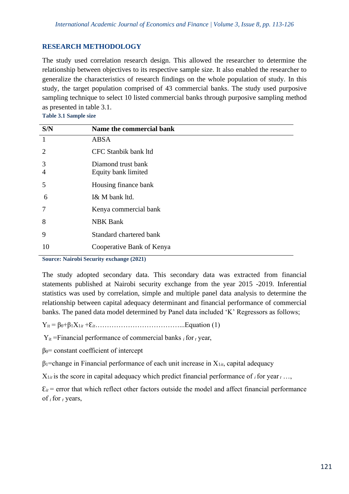# **RESEARCH METHODOLOGY**

The study used correlation research design. This allowed the researcher to determine the relationship between objectives to its respective sample size. It also enabled the researcher to generalize the characteristics of research findings on the whole population of study. In this study, the target population comprised of 43 commercial banks. The study used purposive sampling technique to select 10 listed commercial banks through purposive sampling method as presented in table 3.1.

**Table 3.1 Sample size**

| S/N                   | Name the commercial bank  |
|-----------------------|---------------------------|
| -1                    | ABSA                      |
| $\mathcal{D}_{\cdot}$ | CFC Stanbik bank ltd      |
| 3                     | Diamond trust bank        |
| 4                     | Equity bank limited       |
| 5                     | Housing finance bank      |
| 6                     | I& M bank ltd.            |
| 7                     | Kenya commercial bank     |
| 8                     | <b>NBK Bank</b>           |
| 9                     | Standard chartered bank   |
| 10                    | Cooperative Bank of Kenya |

**Source: Nairobi Security exchange (2021)** 

The study adopted secondary data. This secondary data was extracted from financial statements published at Nairobi security exchange from the year 2015 -2019. Inferential statistics was used by correlation, simple and multiple panel data analysis to determine the relationship between capital adequacy determinant and financial performance of commercial banks. The paned data model determined by Panel data included 'K' Regressors as follows;

Yit = β0+β1X1*it* +Ԑ*it*………………………………...Equation (1)

 $Y_{it}$  =Financial performance of commercial banks *i* for *t* year,

 $β<sub>0</sub> = constant coefficient of intercept$ 

β1=change in Financial performance of each unit increase in X1*it*, capital adequacy

 $X_{1it}$  is the score in capital adequacy which predict financial performance of *i* for year *t* …,

 $\mathcal{E}_{it}$  = error that which reflect other factors outside the model and affect financial performance of *i* for *<sup>t</sup>* years,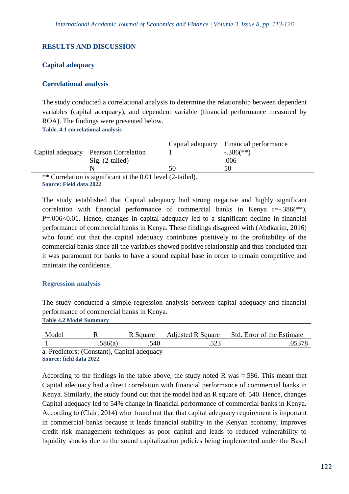## **RESULTS AND DISCUSSION**

#### **Capital adequacy**

#### **Correlational analysis**

The study conducted a correlational analysis to determine the relationship between dependent variables (capital adequacy), and dependent variable (financial performance measured by ROA). The findings were presented below.

**Table. 4.1 correlational analysis**

|        |                                          |                     | Capital adequacy Financial performance |
|--------|------------------------------------------|---------------------|----------------------------------------|
|        | Capital adequacy Pearson Correlation     |                     | $-.386$ <sup>(**)</sup> )              |
|        | $Sig. (2-tailed)$                        |                     | .006                                   |
|        |                                          | 50                  |                                        |
| $\sim$ | $\sim$ $\sim$ 1 $\sim$ $\sim$ $\sim$ 1 1 | $1/2$ , $1 \quad 1$ |                                        |

\*\* Correlation is significant at the 0.01 level (2-tailed). **Source: Field data 2022**

The study established that Capital adequacy had strong negative and highly significant correlation with financial performance of commercial banks in Kenya  $r = -0.386$ <sup>\*\*</sup>), P=.006<0.01. Hence, changes in capital adequacy led to a significant decline in financial performance of commercial banks in Kenya. These findings disagreed with (Abdkarim, 2016) who found out that the capital adequacy contributes positively to the profitability of the commercial banks since all the variables showed positive relationship and thus concluded that it was paramount for banks to have a sound capital base in order to remain competitive and maintain the confidence.

## **Regression analysis**

The study conducted a simple regression analysis between capital adequacy and financial performance of commercial banks in Kenya. **Table 4.2 Model Summary**

| Model         |                                                            | R Square | <b>Adjusted R Square</b> | Std. Error of the Estimate |
|---------------|------------------------------------------------------------|----------|--------------------------|----------------------------|
|               | .586(a)                                                    | .540     |                          |                            |
| $\sim$ $\sim$ | $\sim$<br>$\sim$ $\sim$ $\sim$ $\sim$ $\sim$ $\sim$ $\sim$ |          |                          |                            |

a. Predictors: (Constant), Capital adequacy **Source: field data 2022**

According to the findings in the table above, the study noted R was =.586. This meant that Capital adequacy had a direct correlation with financial performance of commercial banks in Kenya. Similarly, the study found out that the model had an R square of. 540. Hence, changes Capital adequacy led to 54% change in financial performance of commercial banks in Kenya. According to (Clair, 2014) who found out that that capital adequacy requirement is important in commercial banks because it leads financial stability in the Kenyan economy, improves credit risk management techniques as poor capital and leads to reduced vulnerability to liquidity shocks due to the sound capitalization policies being implemented under the Basel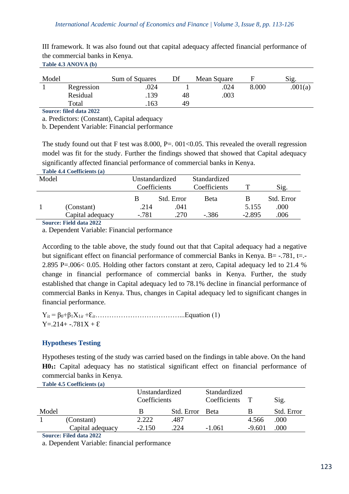| III framework. It was also found out that capital adequacy affected financial performance of |  |  |  |  |  |  |
|----------------------------------------------------------------------------------------------|--|--|--|--|--|--|
| the commercial banks in Kenya.                                                               |  |  |  |  |  |  |
| Table 4.3 ANOVA (b)                                                                          |  |  |  |  |  |  |

| Model |            | Sum of Squares | Df | Mean Square |       | Sig.    |
|-------|------------|----------------|----|-------------|-------|---------|
|       | Regression | .024           |    | .024        | 8.000 | .001(a) |
|       | Residual   | .139           | 48 | .003        |       |         |
|       | Total      | 163            | 49 |             |       |         |

**Source: filed data 2022**

a. Predictors: (Constant), Capital adequacy

b. Dependent Variable: Financial performance

The study found out that F test was 8.000, P=. 001<0.05. This revealed the overall regression model was fit for the study. Further the findings showed that showed that Capital adequacy significantly affected financial performance of commercial banks in Kenya. **Table 4.4 Coefficients (a)**

|       | $1400 \div 7.7 \div 0.011 \times 100 \times 100$ |                |            |              |          |            |
|-------|--------------------------------------------------|----------------|------------|--------------|----------|------------|
| Model |                                                  | Unstandardized |            | Standardized |          |            |
|       |                                                  | Coefficients   |            | Coefficients |          | Sig.       |
|       |                                                  |                | Std. Error | <b>Beta</b>  |          | Std. Error |
|       | (Constant)                                       | .214           | .041       |              | 5.155    | .000       |
|       | Capital adequacy                                 | $-.781$        | .270       | $-.386$      | $-2.895$ | .006       |
|       |                                                  |                |            |              |          |            |

**Source: Field data 2022**

a. Dependent Variable: Financial performance

According to the table above, the study found out that that Capital adequacy had a negative but significant effect on financial performance of commercial Banks in Kenya. B= -.781, t=.-2.895 P=.006< 0.05. Holding other factors constant at zero, Capital adequacy led to 21.4 % change in financial performance of commercial banks in Kenya. Further, the study established that change in Capital adequacy led to 78.1% decline in financial performance of commercial Banks in Kenya. Thus, changes in Capital adequacy led to significant changes in financial performance.

Yit = β0+β1X1*it* +Ԑ*it*………………………………...Equation (1)  $Y = 214 + -0.781X + E$ 

# **Hypotheses Testing**

Hypotheses testing of the study was carried based on the findings in table above. On the hand **H01:** Capital adequacy has no statistical significant effect on financial performance of commercial banks in Kenya.

**Table 4.5 Coefficients (a)**

| Unstandardized<br>Coefficients |                   |          | Standardized<br>Coefficients |          | Sig.     |            |
|--------------------------------|-------------------|----------|------------------------------|----------|----------|------------|
| Model                          |                   |          | Std. Error Beta              |          |          | Std. Error |
|                                | (Constant)        | 2.222    | .487                         |          | 4.566    | .000       |
|                                | Capital adequacy  | $-2.150$ | .224                         | $-1.061$ | $-9.601$ | .000       |
| $\sim$                         | --- - - - - - - - |          |                              |          |          |            |

**Source: Filed data 2022** 

a. Dependent Variable: financial performance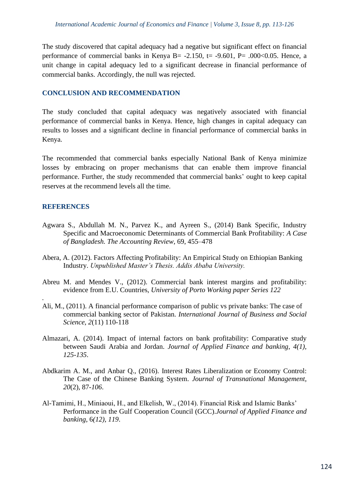The study discovered that capital adequacy had a negative but significant effect on financial performance of commercial banks in Kenya B=  $-2.150$ , t=  $-9.601$ , P=  $.000<0.05$ . Hence, a unit change in capital adequacy led to a significant decrease in financial performance of commercial banks. Accordingly, the null was rejected.

#### **CONCLUSION AND RECOMMENDATION**

The study concluded that capital adequacy was negatively associated with financial performance of commercial banks in Kenya. Hence, high changes in capital adequacy can results to losses and a significant decline in financial performance of commercial banks in Kenya.

The recommended that commercial banks especially National Bank of Kenya minimize losses by embracing on proper mechanisms that can enable them improve financial performance. Further, the study recommended that commercial banks' ought to keep capital reserves at the recommend levels all the time.

## **REFERENCES**

*.*

- Agwara S., Abdullah M. N., Parvez K., and Ayreen S., (2014) Bank Specific, Industry Specific and Macroeconomic Determinants of Commercial Bank Profitability: *A Case of Bangladesh. The Accounting Review*, 69, 455–478
- Abera, A. (2012). Factors Affecting Profitability: An Empirical Study on Ethiopian Banking Industry. *Unpublished Master's Thesis. Addis Ababa University.*
- Abreu M. and Mendes V., (2012). Commercial bank interest margins and profitability: evidence from E.U. Countries, *University of Porto Working paper Series 122*
- Ali, M., (2011). A financial performance comparison of public vs private banks: The case of commercial banking sector of Pakistan. *International Journal of Business and Social Science*, *2*(11) 110-118
- Almazari, A. (2014). Impact of internal factors on bank profitability: Comparative study between Saudi Arabia and Jordan. *Journal of Applied Finance and banking*, *4(1), 125-135*.
- Abdkarim A. M., and Anbar Q., (2016). Interest Rates Liberalization or Economy Control: The Case of the Chinese Banking System. *Journal of Transnational Management*, *20*(2), 87-*106*.
- Al-Tamimi, H., Miniaoui, H., and Elkelish, W., (2014). Financial Risk and Islamic Banks' Performance in the Gulf Cooperation Council (GCC).*Journal of Applied Finance and banking*, 6*(12), 119*.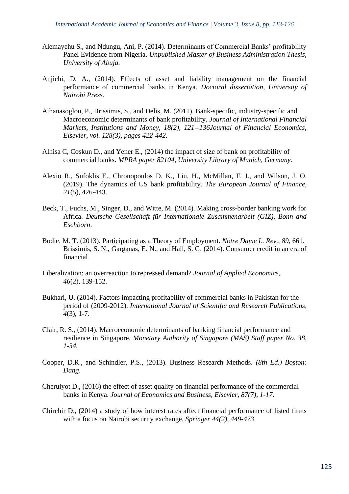- Alemayehu S., and Ndungu, Ani, P. (2014). Determinants of Commercial Banks' profitability Panel Evidence from Nigeria. *Unpublished Master of Business Administration Thesis, University of Abuja.*
- Anjichi, D. A., (2014). Effects of asset and liability management on the financial performance of commercial banks in Kenya. *Doctoral dissertation, University of Nairobi Press*.
- Athanasoglou, P., Brissimis, S., and Delis, M. (2011). Bank-specific, industry-specific and Macroeconomic determinants of bank profitability. *Journal of International Financial Markets, Institutions and Money, 18(2), 121--136Journal of Financial Economics, Elsevier, vol. 128(3), pages 422-442.*
- Alhisa C, Coskun D., and Yener E., (2014) the impact of size of bank on profitability of commercial banks. *MPRA paper 82104, University Library of Munich, Germany.*
- Alexio R., Sufoklis E., Chronopoulos D. K., Liu, H., McMillan, F. J., and Wilson, J. O. (2019). The dynamics of US bank profitability. *The European Journal of Finance*, *21*(5), 426-443.
- Beck, T., Fuchs, M., Singer, D., and Witte, M. (2014). Making cross-border banking work for Africa. *Deutsche Gesellschaft für Internationale Zusammenarbeit (GIZ), Bonn and Eschborn*.
- Bodie, M. T. (2013). Participating as a Theory of Employment. *Notre Dame L. Rev.*, *89*, 661. Brissimis, S. N., Garganas, E. N., and Hall, S. G. (2014). Consumer credit in an era of financial
- Liberalization: an overreaction to repressed demand? *Journal of Applied Economics*, *46*(2), 139-152.
- Bukhari, U. (2014). Factors impacting profitability of commercial banks in Pakistan for the period of (2009-2012). *International Journal of Scientific and Research Publications*, *4*(3), 1-7.
- Clair, R. S., (2014). Macroeconomic determinants of banking financial performance and resilience in Singapore. *Monetary Authority of Singapore (MAS) Staff paper No. 38, 1-34.*
- Cooper, D.R., and Schindler, P.S., (2013). Business Research Methods. *(8th Ed.) Boston: Dang*.
- Cheruiyot D., (2016) the effect of asset quality on financial performance of the commercial banks in Kenya. *Journal of Economics and Business, Elsevier, 87(7), 1-17.*
- Chirchir D., (2014) a study of how interest rates affect financial performance of listed firms with a focus on Nairobi security exchange, *Springer 44(2), 449-473*